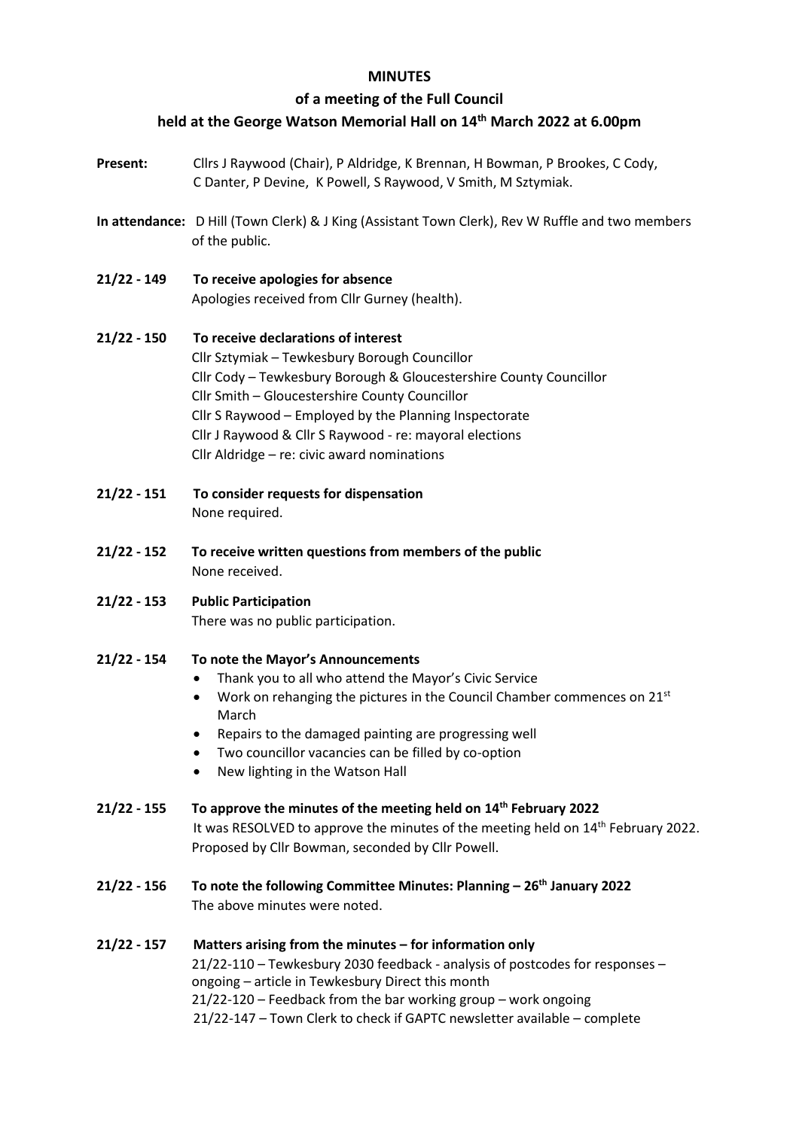## **MINUTES**

## **of a meeting of the Full Council**

# **held at the George Watson Memorial Hall on 14 th March 2022 at 6.00pm**

- **Present:** Cllrs J Raywood (Chair), P Aldridge, K Brennan, H Bowman, P Brookes, C Cody, C Danter, P Devine, K Powell, S Raywood, V Smith, M Sztymiak.
- **In attendance:** D Hill (Town Clerk) & J King (Assistant Town Clerk), Rev W Ruffle and two members of the public.
- **21/22 - 149 To receive apologies for absence** Apologies received from Cllr Gurney (health).
- **21/22 - 150 To receive declarations of interest** Cllr Sztymiak – Tewkesbury Borough Councillor Cllr Cody – Tewkesbury Borough & Gloucestershire County Councillor Cllr Smith – Gloucestershire County Councillor Cllr S Raywood – Employed by the Planning Inspectorate Cllr J Raywood & Cllr S Raywood - re: mayoral elections Cllr Aldridge – re: civic award nominations
- **21/22 - 151 To consider requests for dispensation**  None required.
- **21/22 - 152 To receive written questions from members of the public** None received.
- **21/22 - 153 Public Participation** There was no public participation.
- **21/22 - 154 To note the Mayor's Announcements**
	- Thank you to all who attend the Mayor's Civic Service
	- Work on rehanging the pictures in the Council Chamber commences on  $21^{st}$ March
	- Repairs to the damaged painting are progressing well
	- Two councillor vacancies can be filled by co-option
	- New lighting in the Watson Hall

## **21/22 - 155 To approve the minutes of the meeting held on 14 th February 2022**

It was RESOLVED to approve the minutes of the meeting held on 14<sup>th</sup> February 2022. Proposed by Cllr Bowman, seconded by Cllr Powell.

- **21/22 - 156 To note the following Committee Minutes: Planning – 26th January 2022** The above minutes were noted.
- **21/22 - 157 Matters arising from the minutes – for information only** 21/22-110 – Tewkesbury 2030 feedback - analysis of postcodes for responses – ongoing – article in Tewkesbury Direct this month 21/22-120 – Feedback from the bar working group – work ongoing 21/22-147 – Town Clerk to check if GAPTC newsletter available – complete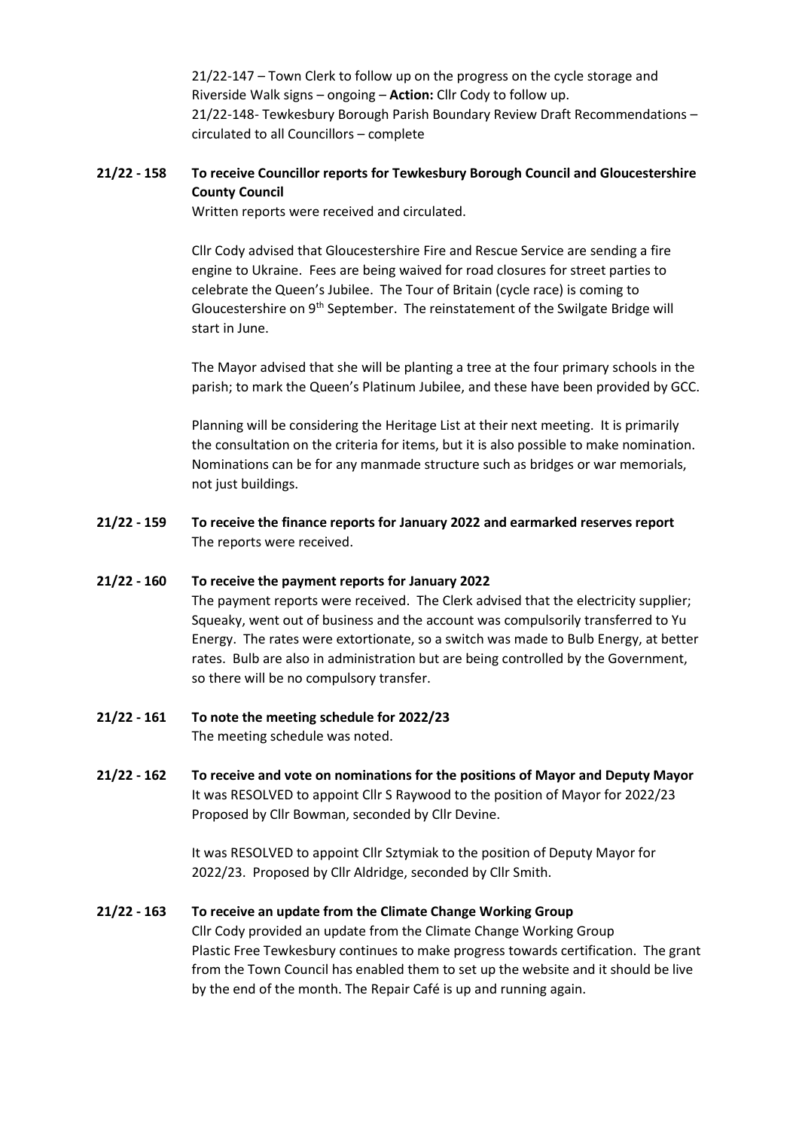21/22-147 – Town Clerk to follow up on the progress on the cycle storage and Riverside Walk signs – ongoing – **Action:** Cllr Cody to follow up. 21/22-148- Tewkesbury Borough Parish Boundary Review Draft Recommendations – circulated to all Councillors – complete

## **21/22 - 158 To receive Councillor reports for Tewkesbury Borough Council and Gloucestershire County Council**

Written reports were received and circulated.

Cllr Cody advised that Gloucestershire Fire and Rescue Service are sending a fire engine to Ukraine. Fees are being waived for road closures for street parties to celebrate the Queen's Jubilee. The Tour of Britain (cycle race) is coming to Gloucestershire on 9<sup>th</sup> September. The reinstatement of the Swilgate Bridge will start in June.

The Mayor advised that she will be planting a tree at the four primary schools in the parish; to mark the Queen's Platinum Jubilee, and these have been provided by GCC.

Planning will be considering the Heritage List at their next meeting. It is primarily the consultation on the criteria for items, but it is also possible to make nomination. Nominations can be for any manmade structure such as bridges or war memorials, not just buildings.

**21/22 - 159 To receive the finance reports for January 2022 and earmarked reserves report** The reports were received.

#### **21/22 - 160 To receive the payment reports for January 2022**

The payment reports were received. The Clerk advised that the electricity supplier; Squeaky, went out of business and the account was compulsorily transferred to Yu Energy. The rates were extortionate, so a switch was made to Bulb Energy, at better rates. Bulb are also in administration but are being controlled by the Government, so there will be no compulsory transfer.

- **21/22 - 161 To note the meeting schedule for 2022/23** The meeting schedule was noted.
- **21/22 - 162 To receive and vote on nominations for the positions of Mayor and Deputy Mayor** It was RESOLVED to appoint Cllr S Raywood to the position of Mayor for 2022/23 Proposed by Cllr Bowman, seconded by Cllr Devine.

It was RESOLVED to appoint Cllr Sztymiak to the position of Deputy Mayor for 2022/23. Proposed by Cllr Aldridge, seconded by Cllr Smith.

#### **21/22 - 163 To receive an update from the Climate Change Working Group**

Cllr Cody provided an update from the Climate Change Working Group Plastic Free Tewkesbury continues to make progress towards certification. The grant from the Town Council has enabled them to set up the website and it should be live by the end of the month. The Repair Café is up and running again.